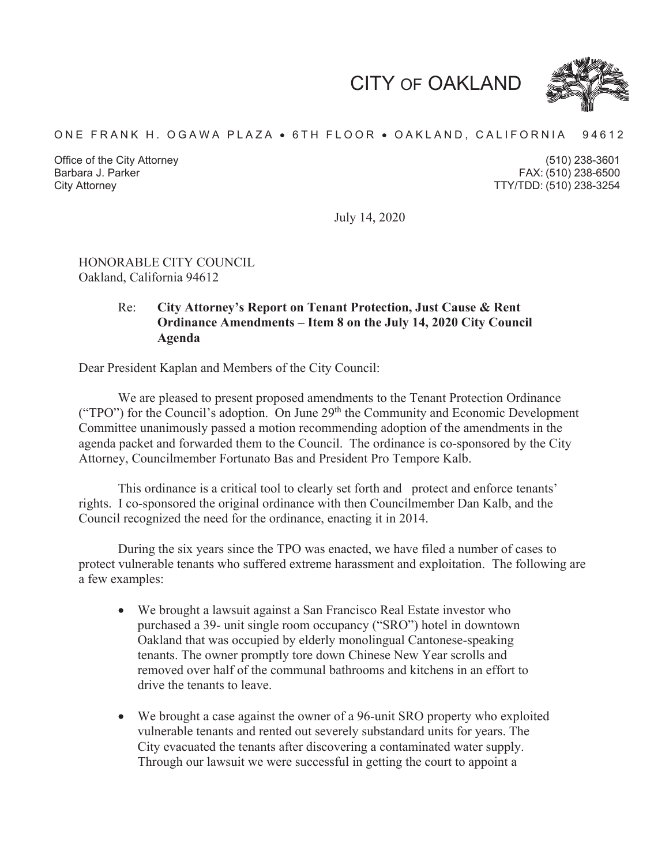CITY OF OAKLAND



#### ONE FRANK H. OGAWA PLAZA · 6TH FLOOR · OAKLAND, CALIFORNIA 94612

Office of the City Attorney Barbara J. Parker

(510) 238-3601 (510) 238-6500 City Attorney TTY/TDD: (510) 238-3254

July 14, 2020

#### HONORABLE CITY COUNCIL Oakland, California 94612

#### Re: **City Attorney's Report on Tenant Protection, Just Cause & Rent Ordinance Amendments – Item 8 on the July 14, 2020 City Council Agenda**

Dear President Kaplan and Members of the City Council:

We are pleased to present proposed amendments to the Tenant Protection Ordinance ("TPO") for the Council's adoption. On June 29<sup>th</sup> the Community and Economic Development Committee unanimously passed a motion recommending adoption of the amendments in the agenda packet and forwarded them to the Council. The ordinance is co-sponsored by the City Attorney, Councilmember Fortunato Bas and President Pro Tempore Kalb.

This ordinance is a critical tool to clearly set forth and protect and enforce tenants' rights. I co-sponsored the original ordinance with then Councilmember Dan Kalb, and the Council recognized the need for the ordinance, enacting it in 2014.

During the six years since the TPO was enacted, we have filed a number of cases to protect vulnerable tenants who suffered extreme harassment and exploitation. The following are a few examples:

- We brought a lawsuit against a San Francisco Real Estate investor who purchased a 39- unit single room occupancy ("SRO") hotel in downtown Oakland that was occupied by elderly monolingual Cantonese-speaking tenants. The owner promptly tore down Chinese New Year scrolls and removed over half of the communal bathrooms and kitchens in an effort to drive the tenants to leave.
- $\bullet$  We brought a case against the owner of a 96-unit SRO property who exploited vulnerable tenants and rented out severely substandard units for years. The City evacuated the tenants after discovering a contaminated water supply. Through our lawsuit we were successful in getting the court to appoint a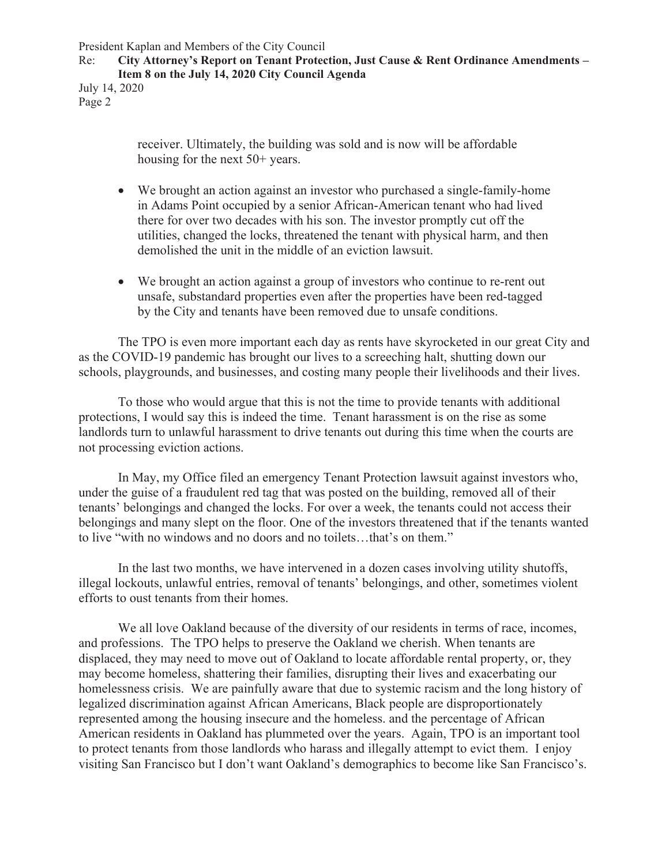President Kaplan and Members of the City Council

Re: **City Attorney's Report on Tenant Protection, Just Cause & Rent Ordinance Amendments – Item 8 on the July 14, 2020 City Council Agenda** 

July 14, 2020 Page 2

> receiver. Ultimately, the building was sold and is now will be affordable housing for the next 50+ years.

- We brought an action against an investor who purchased a single-family-home in Adams Point occupied by a senior African-American tenant who had lived there for over two decades with his son. The investor promptly cut off the utilities, changed the locks, threatened the tenant with physical harm, and then demolished the unit in the middle of an eviction lawsuit.
- We brought an action against a group of investors who continue to re-rent out unsafe, substandard properties even after the properties have been red-tagged by the City and tenants have been removed due to unsafe conditions.

The TPO is even more important each day as rents have skyrocketed in our great City and as the COVID-19 pandemic has brought our lives to a screeching halt, shutting down our schools, playgrounds, and businesses, and costing many people their livelihoods and their lives.

To those who would argue that this is not the time to provide tenants with additional protections, I would say this is indeed the time. Tenant harassment is on the rise as some landlords turn to unlawful harassment to drive tenants out during this time when the courts are not processing eviction actions.

In May, my Office filed an emergency Tenant Protection lawsuit against investors who, under the guise of a fraudulent red tag that was posted on the building, removed all of their tenants' belongings and changed the locks. For over a week, the tenants could not access their belongings and many slept on the floor. One of the investors threatened that if the tenants wanted to live "with no windows and no doors and no toilets…that's on them."

In the last two months, we have intervened in a dozen cases involving utility shutoffs, illegal lockouts, unlawful entries, removal of tenants' belongings, and other, sometimes violent efforts to oust tenants from their homes.

We all love Oakland because of the diversity of our residents in terms of race, incomes, and professions. The TPO helps to preserve the Oakland we cherish. When tenants are displaced, they may need to move out of Oakland to locate affordable rental property, or, they may become homeless, shattering their families, disrupting their lives and exacerbating our homelessness crisis. We are painfully aware that due to systemic racism and the long history of legalized discrimination against African Americans, Black people are disproportionately represented among the housing insecure and the homeless. and the percentage of African American residents in Oakland has plummeted over the years. Again, TPO is an important tool to protect tenants from those landlords who harass and illegally attempt to evict them. I enjoy visiting San Francisco but I don't want Oakland's demographics to become like San Francisco's.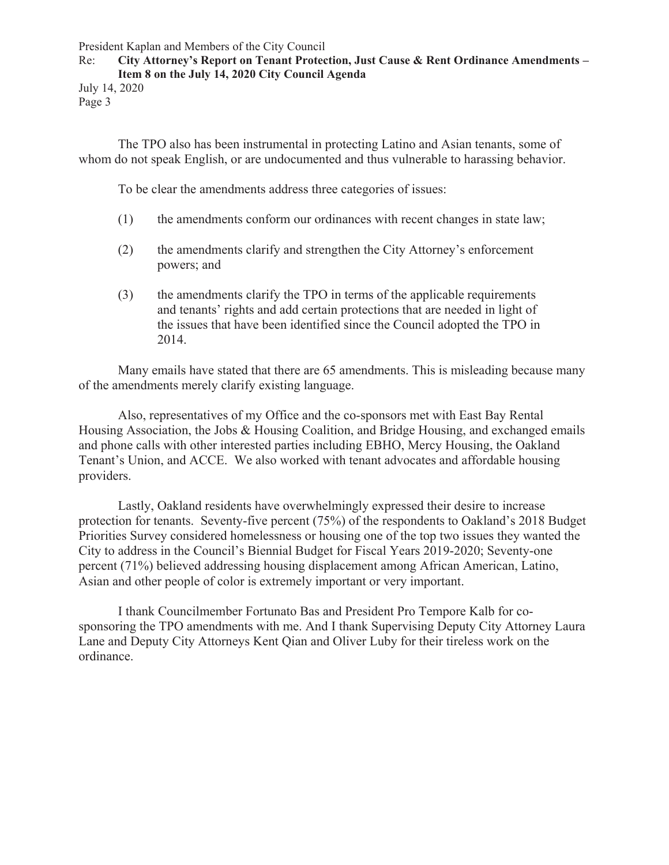President Kaplan and Members of the City Council

#### Re: **City Attorney's Report on Tenant Protection, Just Cause & Rent Ordinance Amendments – Item 8 on the July 14, 2020 City Council Agenda**

July 14, 2020 Page 3

The TPO also has been instrumental in protecting Latino and Asian tenants, some of whom do not speak English, or are undocumented and thus vulnerable to harassing behavior.

To be clear the amendments address three categories of issues:

- (1) the amendments conform our ordinances with recent changes in state law;
- (2) the amendments clarify and strengthen the City Attorney's enforcement powers; and
- (3) the amendments clarify the TPO in terms of the applicable requirements and tenants' rights and add certain protections that are needed in light of the issues that have been identified since the Council adopted the TPO in 2014.

Many emails have stated that there are 65 amendments. This is misleading because many of the amendments merely clarify existing language.

Also, representatives of my Office and the co-sponsors met with East Bay Rental Housing Association, the Jobs & Housing Coalition, and Bridge Housing, and exchanged emails and phone calls with other interested parties including EBHO, Mercy Housing, the Oakland Tenant's Union, and ACCE. We also worked with tenant advocates and affordable housing providers.

Lastly, Oakland residents have overwhelmingly expressed their desire to increase protection for tenants. Seventy-five percent (75%) of the respondents to Oakland's 2018 Budget Priorities Survey considered homelessness or housing one of the top two issues they wanted the City to address in the Council's Biennial Budget for Fiscal Years 2019-2020; Seventy-one percent (71%) believed addressing housing displacement among African American, Latino, Asian and other people of color is extremely important or very important.

I thank Councilmember Fortunato Bas and President Pro Tempore Kalb for cosponsoring the TPO amendments with me. And I thank Supervising Deputy City Attorney Laura Lane and Deputy City Attorneys Kent Qian and Oliver Luby for their tireless work on the ordinance.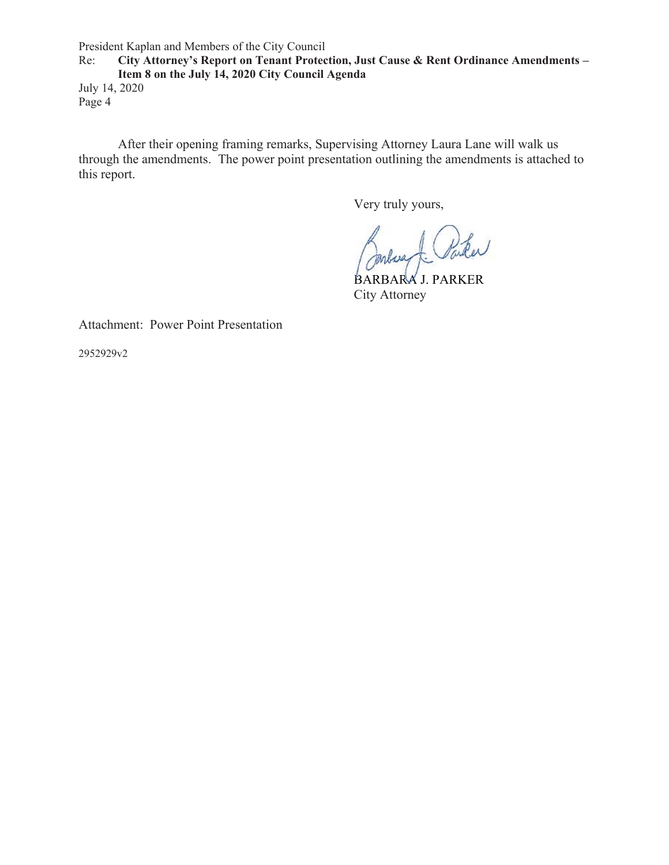President Kaplan and Members of the City Council

Re: **City Attorney's Report on Tenant Protection, Just Cause & Rent Ordinance Amendments – Item 8 on the July 14, 2020 City Council Agenda**  July 14, 2020

Page 4

After their opening framing remarks, Supervising Attorney Laura Lane will walk us through the amendments. The power point presentation outlining the amendments is attached to this report.

Very truly yours,

Paker Inbara

BARBARA J. PARKER BARBARAJ. City Attorney

Attachment: Power Point Presentation

2952929v2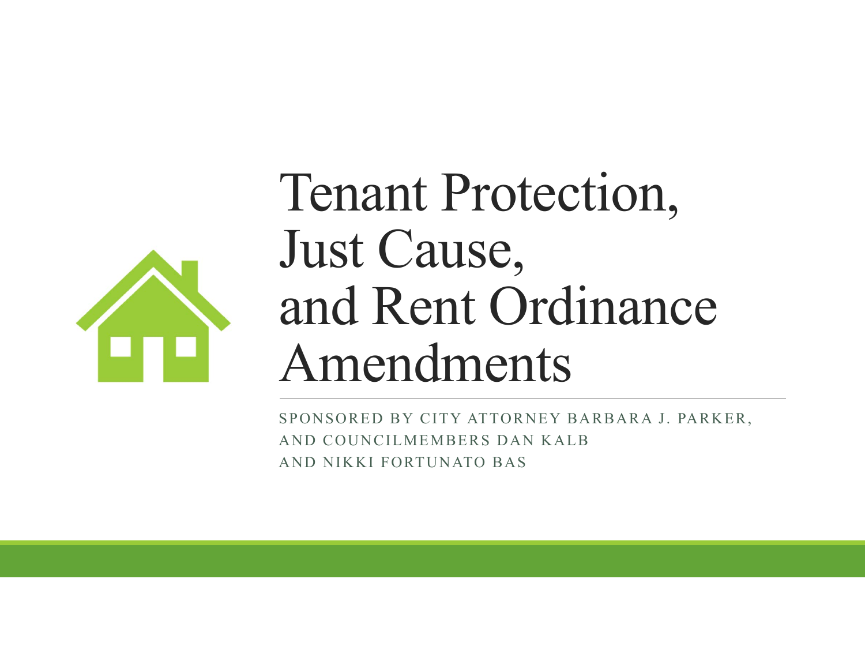

# Tenant Protection, Just Cause, and Rent Ordinance Amendments

SPONSORED BY CITY ATTORNEY BARBARA J. PARKER, AND COUNCILMEMBERS DAN KALB AND NIKKI FORTUNATO BAS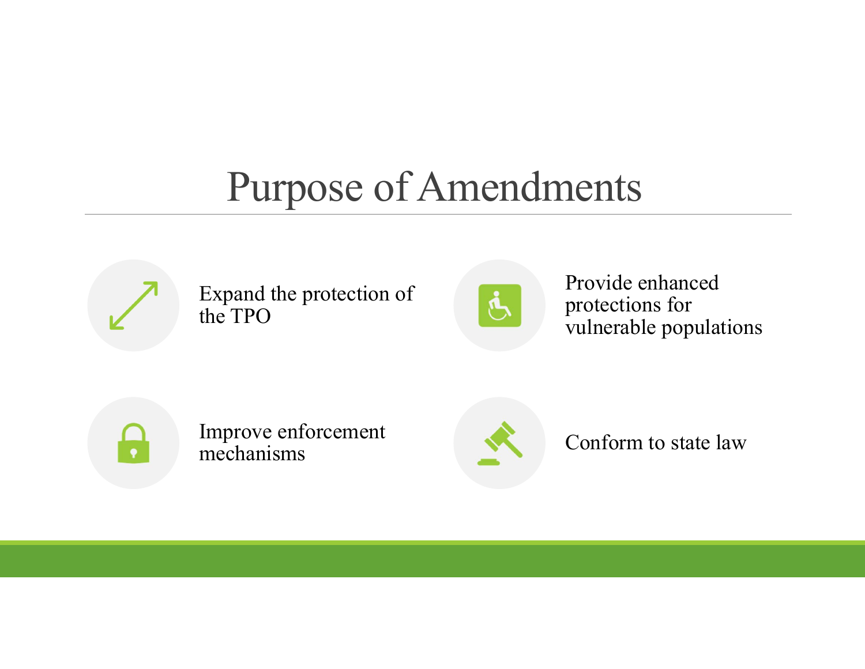#### Purpose of Amendments



Expand the protection of the TPO



Provide enhanced protections for vulnerable populations



Improve enforcement mechanisms



Conform to state law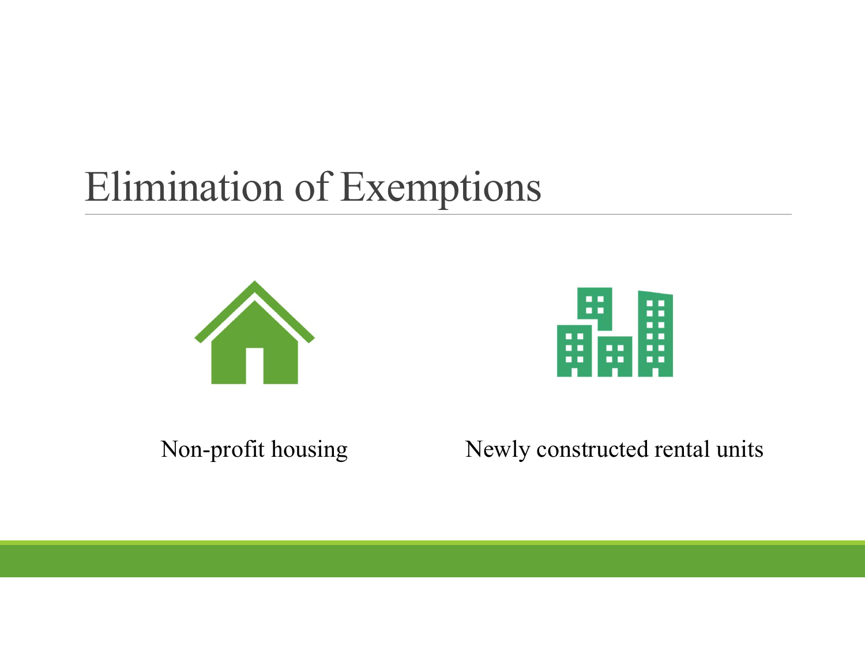## Elimination of Exemptions





Non-profit housing Newly constructed rental units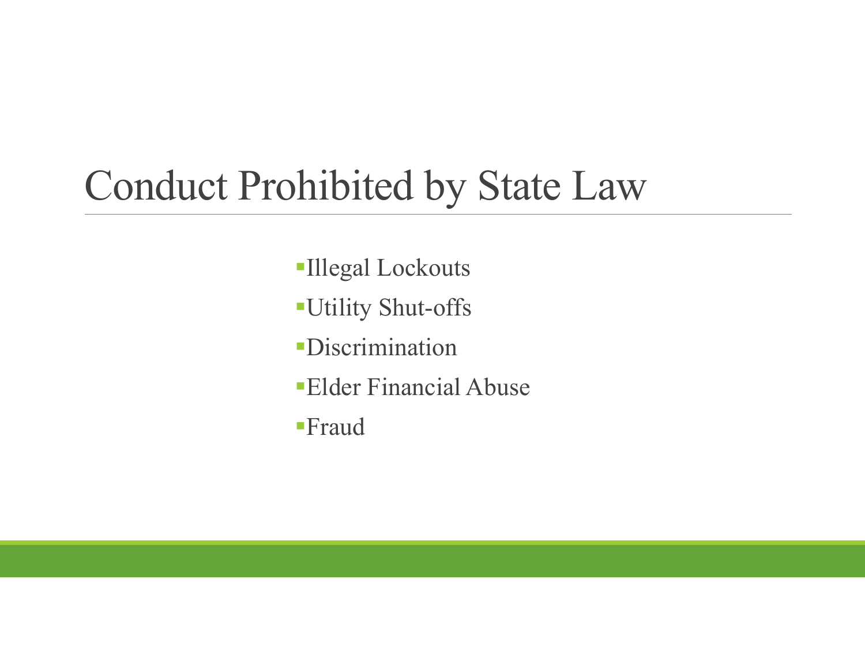### Conduct Prohibited by State Law

- Illegal Lockouts
- Utility Shut-offs
- Discrimination
- Elder Financial Abuse
- Fraud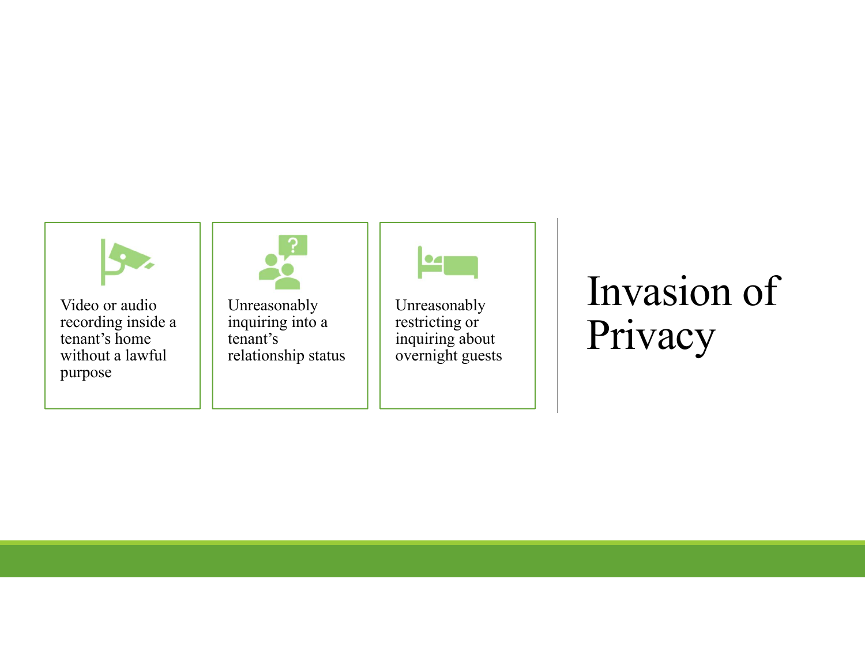

### Invasion of Privacy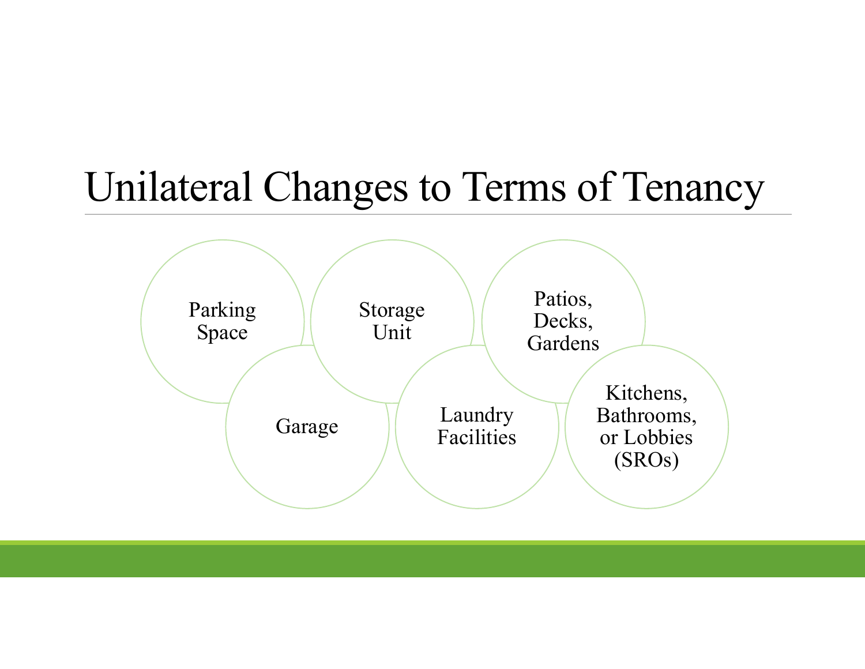#### Unilateral Changes to Terms of Tenancy

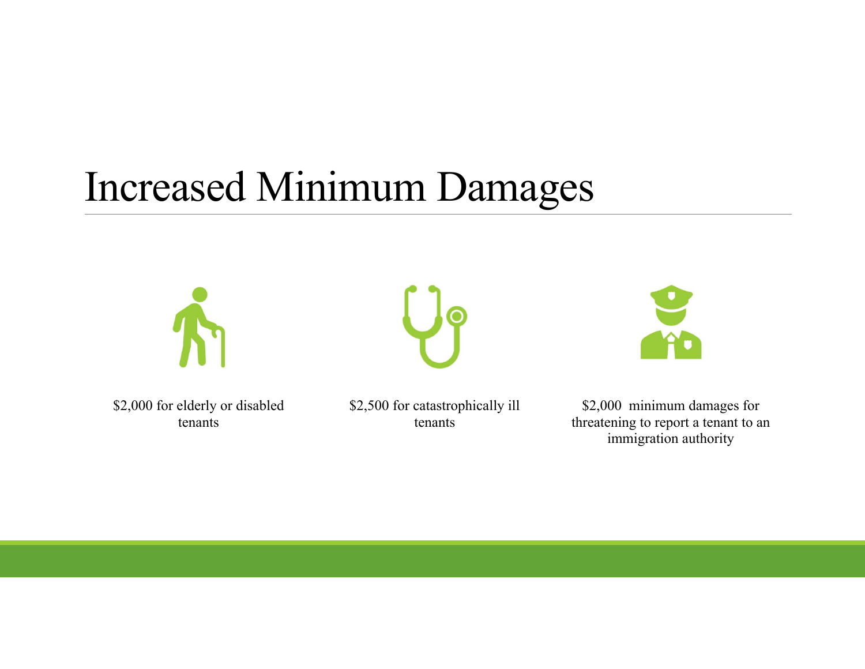### Increased Minimum Damages







\$2,000 for elderly or disabled tenants

\$2,500 for catastrophically ill tenants

\$2,000 minimum damages for threatening to report a tenant to an immigration authority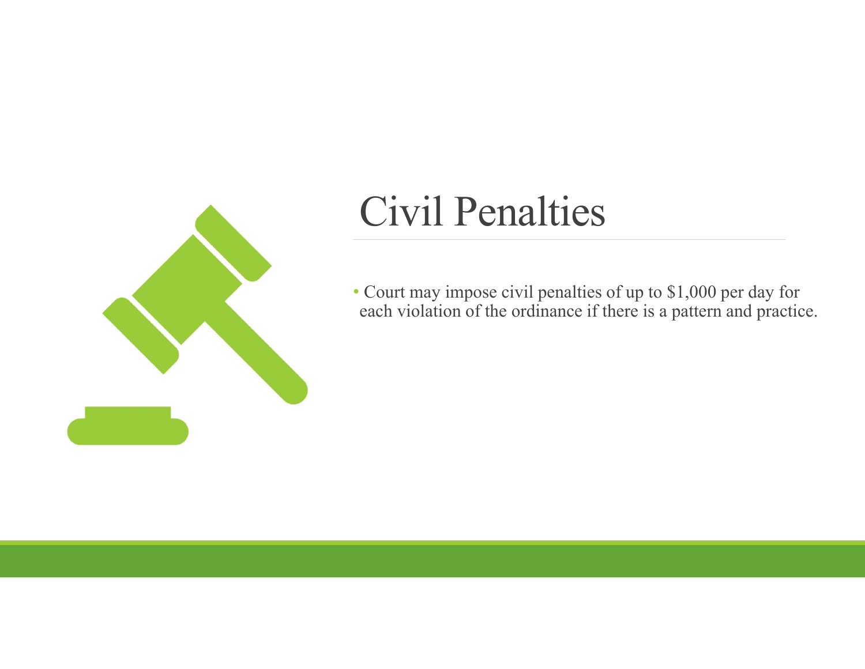

### Civil Penalties

• Court may impose civil penalties of up to \$1,000 per day for each violation of the ordinance if there is a pattern and practice.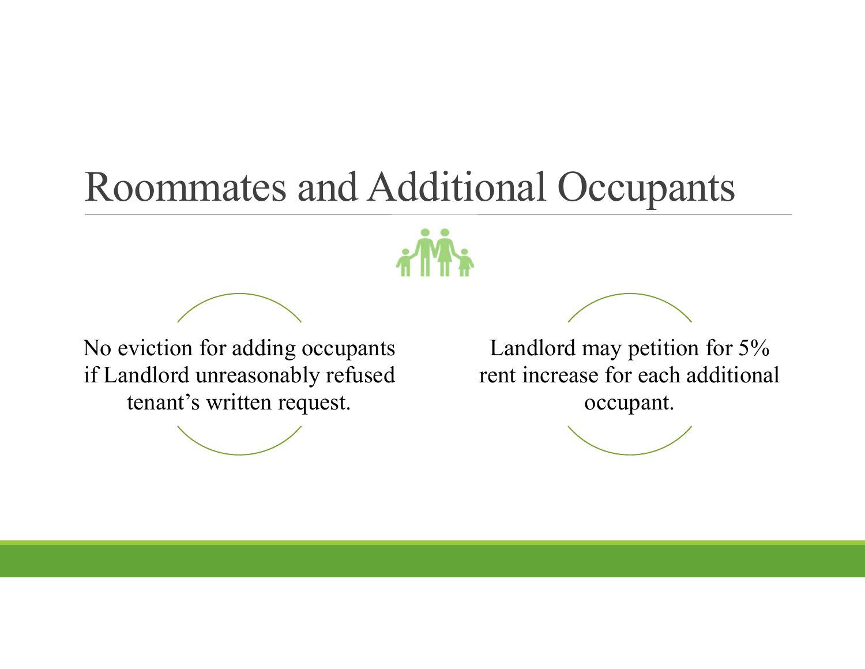#### Roommates and Additional Occupants



No eviction for adding occupants if Landlord unreasonably refused tenant's written request.



Landlord may petition for 5% rent increase for each additional occupant.

$$
\underbrace{\qquad \qquad }
$$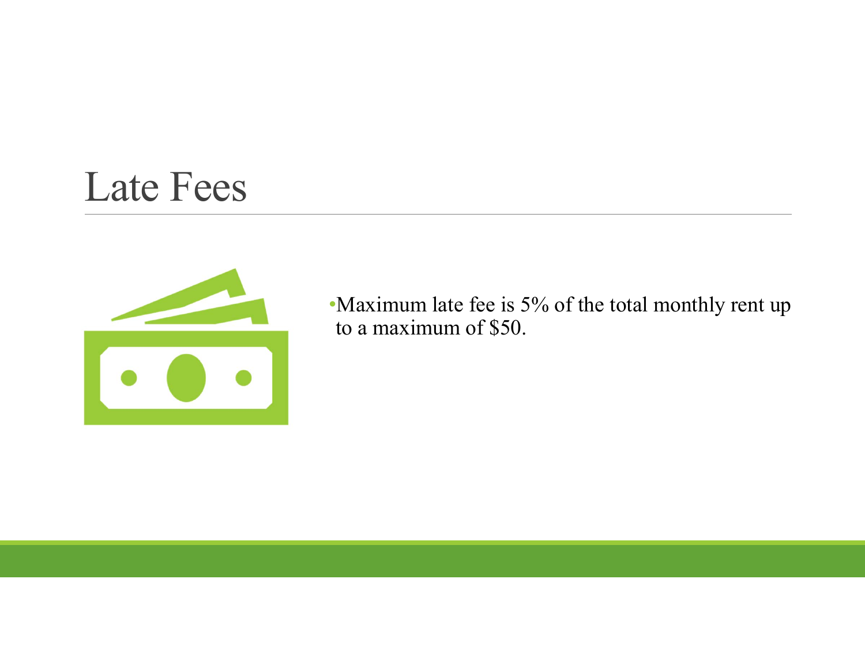#### Late Fees



•Maximum late fee is 5% of the total monthly rent up to a maximum of \$50.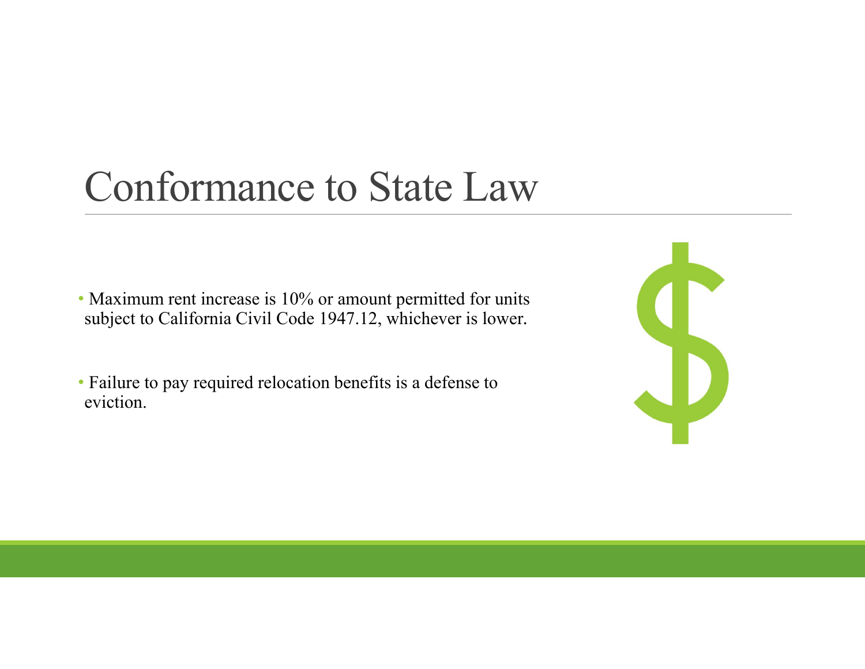#### Conformance to State Law

• Maximum rent increase is 10% or amount permitted for units subject to California Civil Code 1947.12, whichever is lower*.*

• Failure to pay required relocation benefits is a defense to eviction.